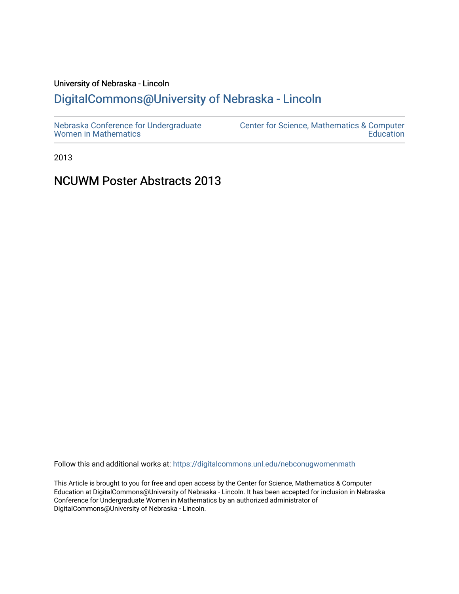# University of Nebraska - Lincoln

# [DigitalCommons@University of Nebraska - Lincoln](https://digitalcommons.unl.edu/)

| Nebraska Conference for Undergraduate | Center for Science, Mathematics & Computer |
|---------------------------------------|--------------------------------------------|
| <b>Women in Mathematics</b>           | Education                                  |

2013

# NCUWM Poster Abstracts 2013

Follow this and additional works at: [https://digitalcommons.unl.edu/nebconugwomenmath](https://digitalcommons.unl.edu/nebconugwomenmath?utm_source=digitalcommons.unl.edu%2Fnebconugwomenmath%2F17&utm_medium=PDF&utm_campaign=PDFCoverPages)

This Article is brought to you for free and open access by the Center for Science, Mathematics & Computer Education at DigitalCommons@University of Nebraska - Lincoln. It has been accepted for inclusion in Nebraska Conference for Undergraduate Women in Mathematics by an authorized administrator of DigitalCommons@University of Nebraska - Lincoln.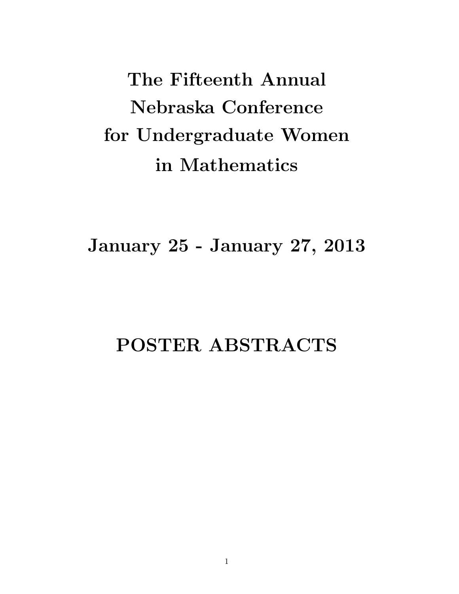**The Fifteenth Annual Nebraska Conference for Undergraduate Women in Mathematics**

**January 25 - January 27, 2013**

# **POSTER ABSTRACTS**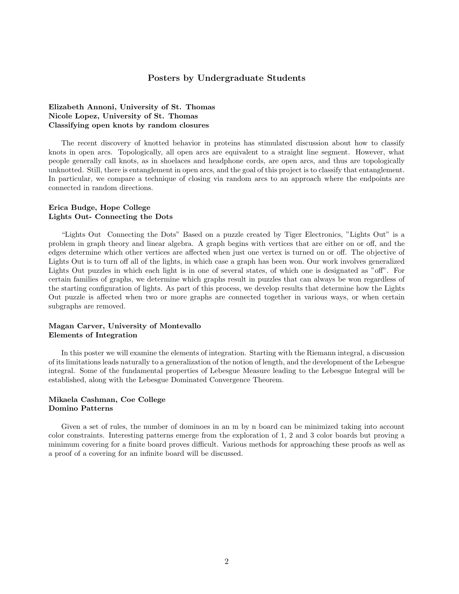# **Posters by Undergraduate Students**

# **Elizabeth Annoni, University of St. Thomas Nicole Lopez, University of St. Thomas Classifying open knots by random closures**

The recent discovery of knotted behavior in proteins has stimulated discussion about how to classify knots in open arcs. Topologically, all open arcs are equivalent to a straight line segment. However, what people generally call knots, as in shoelaces and headphone cords, are open arcs, and thus are topologically unknotted. Still, there is entanglement in open arcs, and the goal of this project is to classify that entanglement. In particular, we compare a technique of closing via random arcs to an approach where the endpoints are connected in random directions.

#### **Erica Budge, Hope College Lights Out- Connecting the Dots**

"Lights Out Connecting the Dots" Based on a puzzle created by Tiger Electronics, "Lights Out" is a problem in graph theory and linear algebra. A graph begins with vertices that are either on or off, and the edges determine which other vertices are affected when just one vertex is turned on or off. The objective of Lights Out is to turn off all of the lights, in which case a graph has been won. Our work involves generalized Lights Out puzzles in which each light is in one of several states, of which one is designated as "off". For certain families of graphs, we determine which graphs result in puzzles that can always be won regardless of the starting configuration of lights. As part of this process, we develop results that determine how the Lights Out puzzle is affected when two or more graphs are connected together in various ways, or when certain subgraphs are removed.

# **Magan Carver, University of Montevallo Elements of Integration**

In this poster we will examine the elements of integration. Starting with the Riemann integral, a discussion of its limitations leads naturally to a generalization of the notion of length, and the development of the Lebesgue integral. Some of the fundamental properties of Lebesgue Measure leading to the Lebesgue Integral will be established, along with the Lebesgue Dominated Convergence Theorem.

# **Mikaela Cashman, Coe College Domino Patterns**

Given a set of rules, the number of dominoes in an m by n board can be minimized taking into account color constraints. Interesting patterns emerge from the exploration of 1, 2 and 3 color boards but proving a minimum covering for a finite board proves difficult. Various methods for approaching these proofs as well as a proof of a covering for an infinite board will be discussed.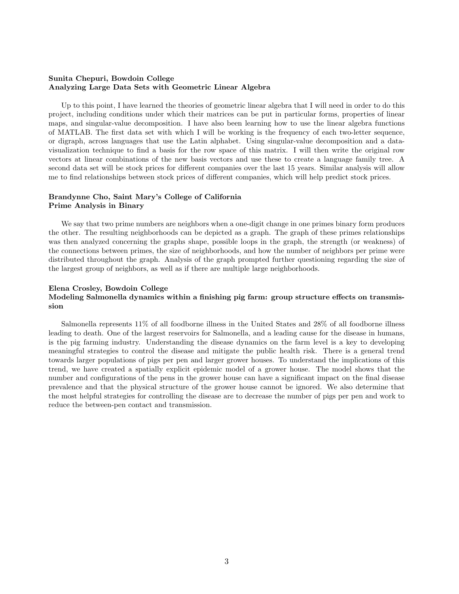# **Sunita Chepuri, Bowdoin College Analyzing Large Data Sets with Geometric Linear Algebra**

Up to this point, I have learned the theories of geometric linear algebra that I will need in order to do this project, including conditions under which their matrices can be put in particular forms, properties of linear maps, and singular-value decomposition. I have also been learning how to use the linear algebra functions of MATLAB. The first data set with which I will be working is the frequency of each two-letter sequence, or digraph, across languages that use the Latin alphabet. Using singular-value decomposition and a datavisualization technique to find a basis for the row space of this matrix. I will then write the original row vectors at linear combinations of the new basis vectors and use these to create a language family tree. A second data set will be stock prices for different companies over the last 15 years. Similar analysis will allow me to find relationships between stock prices of different companies, which will help predict stock prices.

# **Brandynne Cho, Saint Mary's College of California Prime Analysis in Binary**

We say that two prime numbers are neighbors when a one-digit change in one primes binary form produces the other. The resulting neighborhoods can be depicted as a graph. The graph of these primes relationships was then analyzed concerning the graphs shape, possible loops in the graph, the strength (or weakness) of the connections between primes, the size of neighborhoods, and how the number of neighbors per prime were distributed throughout the graph. Analysis of the graph prompted further questioning regarding the size of the largest group of neighbors, as well as if there are multiple large neighborhoods.

# **Elena Crosley, Bowdoin College Modeling Salmonella dynamics within a finishing pig farm: group structure effects on transmission**

Salmonella represents 11% of all foodborne illness in the United States and 28% of all foodborne illness leading to death. One of the largest reservoirs for Salmonella, and a leading cause for the disease in humans, is the pig farming industry. Understanding the disease dynamics on the farm level is a key to developing meaningful strategies to control the disease and mitigate the public health risk. There is a general trend towards larger populations of pigs per pen and larger grower houses. To understand the implications of this trend, we have created a spatially explicit epidemic model of a grower house. The model shows that the number and configurations of the pens in the grower house can have a significant impact on the final disease prevalence and that the physical structure of the grower house cannot be ignored. We also determine that the most helpful strategies for controlling the disease are to decrease the number of pigs per pen and work to reduce the between-pen contact and transmission.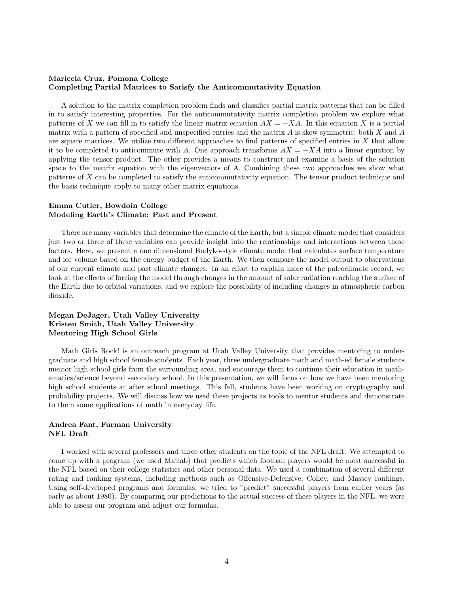# **Maricela Cruz, Pomona College Completing Partial Matrices to Satisfy the Anticommutativity Equation**

A solution to the matrix completion problem finds and classifies partial matrix patterns that can be filled in to satisfy interesting properties. For the anticommutativity matrix completion problem we explore what patterns of *X* we can fill in to satisfy the linear matrix equation  $AX = -XA$ . In this equation *X* is a partial matrix with a pattern of specified and unspecified entries and the matrix *A* is skew symmetric; both *X* and *A* are square matrices. We utilize two different approaches to find patterns of specified entries in *X* that allow it to be completed to anticommute with *A*. One approach transforms  $AX = -XA$  into a linear equation by applying the tensor product. The other provides a means to construct and examine a basis of the solution space to the matrix equation with the eigenvectors of A. Combining these two approaches we show what patterns of *X* can be completed to satisfy the anticommutativity equation. The tensor product technique and the basis technique apply to many other matrix equations.

# **Emma Cutler, Bowdoin College Modeling Earth's Climate: Past and Present**

There are many variables that determine the climate of the Earth, but a simple climate model that considers just two or three of these variables can provide insight into the relationships and interactions between these factors. Here, we present a one dimensional Budyko-style climate model that calculates surface temperature and ice volume based on the energy budget of the Earth. We then compare the model output to observations of our current climate and past climate changes. In an effort to explain more of the paleoclimate record, we look at the effects of forcing the model through changes in the amount of solar radiation reaching the surface of the Earth due to orbital variations, and we explore the possibility of including changes in atmospheric carbon dioxide.

# **Megan DeJager, Utah Valley University Kristen Smith, Utah Valley University Mentoring High School Girls**

Math Girls Rock! is an outreach program at Utah Valley University that provides mentoring to undergraduate and high school female students. Each year, three undergraduate math and math-ed female students mentor high school girls from the surrounding area, and encourage them to continue their education in mathematics/science beyond secondary school. In this presentation, we will focus on how we have been mentoring high school students at after school meetings. This fall, students have been working on cryptography and probability projects. We will discuss how we used these projects as tools to mentor students and demonstrate to them some applications of math in everyday life.

# **Andrea Fant, Furman University NFL Draft**

I worked with several professors and three other students on the topic of the NFL draft. We attempted to come up with a program (we used Matlab) that predicts which football players would be most successful in the NFL based on their college statistics and other personal data. We used a combination of several different rating and ranking systems, including methods such as Offensive-Defensive, Colley, and Massey rankings. Using self-developed programs and formulas, we tried to "predict" successful players from earlier years (as early as about 1980). By comparing our predictions to the actual success of these players in the NFL, we were able to assess our program and adjust our formulas.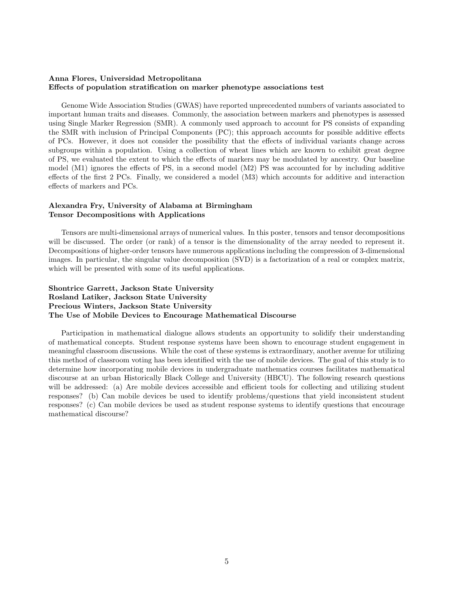# **Anna Flores, Universidad Metropolitana Effects of population stratification on marker phenotype associations test**

Genome Wide Association Studies (GWAS) have reported unprecedented numbers of variants associated to important human traits and diseases. Commonly, the association between markers and phenotypes is assessed using Single Marker Regression (SMR). A commonly used approach to account for PS consists of expanding the SMR with inclusion of Principal Components (PC); this approach accounts for possible additive effects of PCs. However, it does not consider the possibility that the effects of individual variants change across subgroups within a population. Using a collection of wheat lines which are known to exhibit great degree of PS, we evaluated the extent to which the effects of markers may be modulated by ancestry. Our baseline model (M1) ignores the effects of PS, in a second model (M2) PS was accounted for by including additive effects of the first 2 PCs. Finally, we considered a model (M3) which accounts for additive and interaction effects of markers and PCs.

# **Alexandra Fry, University of Alabama at Birmingham Tensor Decompositions with Applications**

Tensors are multi-dimensional arrays of numerical values. In this poster, tensors and tensor decompositions will be discussed. The order (or rank) of a tensor is the dimensionality of the array needed to represent it. Decompositions of higher-order tensors have numerous applications including the compression of 3-dimensional images. In particular, the singular value decomposition (SVD) is a factorization of a real or complex matrix, which will be presented with some of its useful applications.

# **Shontrice Garrett, Jackson State University Rosland Latiker, Jackson State University Precious Winters, Jackson State University The Use of Mobile Devices to Encourage Mathematical Discourse**

Participation in mathematical dialogue allows students an opportunity to solidify their understanding of mathematical concepts. Student response systems have been shown to encourage student engagement in meaningful classroom discussions. While the cost of these systems is extraordinary, another avenue for utilizing this method of classroom voting has been identified with the use of mobile devices. The goal of this study is to determine how incorporating mobile devices in undergraduate mathematics courses facilitates mathematical discourse at an urban Historically Black College and University (HBCU). The following research questions will be addressed: (a) Are mobile devices accessible and efficient tools for collecting and utilizing student responses? (b) Can mobile devices be used to identify problems/questions that yield inconsistent student responses? (c) Can mobile devices be used as student response systems to identify questions that encourage mathematical discourse?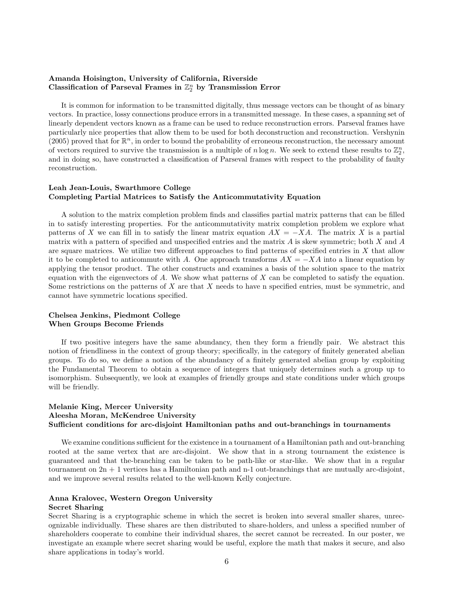# **Amanda Hoisington, University of California, Riverside** Classification of Parseval Frames in  $\mathbb{Z}_2^n$  by Transmission Error

It is common for information to be transmitted digitally, thus message vectors can be thought of as binary vectors. In practice, lossy connections produce errors in a transmitted message. In these cases, a spanning set of linearly dependent vectors known as a frame can be used to reduce reconstruction errors. Parseval frames have particularly nice properties that allow them to be used for both deconstruction and reconstruction. Vershynin (2005) proved that for  $\mathbb{R}^n$ , in order to bound the probability of erroneous reconstruction, the necessary amount of vectors required to survive the transmission is a multiple of  $n \log n$ . We seek to extend these results to  $\mathbb{Z}_2^n$ , and in doing so, have constructed a classification of Parseval frames with respect to the probability of faulty reconstruction.

# **Leah Jean-Louis, Swarthmore College Completing Partial Matrices to Satisfy the Anticommutativity Equation**

A solution to the matrix completion problem finds and classifies partial matrix patterns that can be filled in to satisfy interesting properties. For the anticommutativity matrix completion problem we explore what patterns of *X* we can fill in to satisfy the linear matrix equation  $AX = -XA$ . The matrix *X* is a partial matrix with a pattern of specified and unspecified entries and the matrix *A* is skew symmetric; both *X* and *A* are square matrices. We utilize two different approaches to find patterns of specified entries in *X* that allow it to be completed to anticommute with *A*. One approach transforms  $AX = -XA$  into a linear equation by applying the tensor product. The other constructs and examines a basis of the solution space to the matrix equation with the eigenvectors of *A*. We show what patterns of *X* can be completed to satisfy the equation. Some restrictions on the patterns of *X* are that *X* needs to have n specified entries, must be symmetric, and cannot have symmetric locations specified.

# **Chelsea Jenkins, Piedmont College When Groups Become Friends**

If two positive integers have the same abundancy, then they form a friendly pair. We abstract this notion of friendliness in the context of group theory; specifically, in the category of finitely generated abelian groups. To do so, we define a notion of the abundancy of a finitely generated abelian group by exploiting the Fundamental Theorem to obtain a sequence of integers that uniquely determines such a group up to isomorphism. Subsequently, we look at examples of friendly groups and state conditions under which groups will be friendly.

# **Melanie King, Mercer University Aleesha Moran, McKendree University Sufficient conditions for arc-disjoint Hamiltonian paths and out-branchings in tournaments**

We examine conditions sufficient for the existence in a tournament of a Hamiltonian path and out-branching rooted at the same vertex that are arc-disjoint. We show that in a strong tournament the existence is guaranteed and that the-branching can be taken to be path-like or star-like. We show that in a regular tournament on  $2n + 1$  vertices has a Hamiltonian path and n-1 out-branchings that are mutually arc-disjoint, and we improve several results related to the well-known Kelly conjecture.

# **Anna Kralovec, Western Oregon University**

# **Secret Sharing**

Secret Sharing is a cryptographic scheme in which the secret is broken into several smaller shares, unrecognizable individually. These shares are then distributed to share-holders, and unless a specified number of shareholders cooperate to combine their individual shares, the secret cannot be recreated. In our poster, we investigate an example where secret sharing would be useful, explore the math that makes it secure, and also share applications in today's world.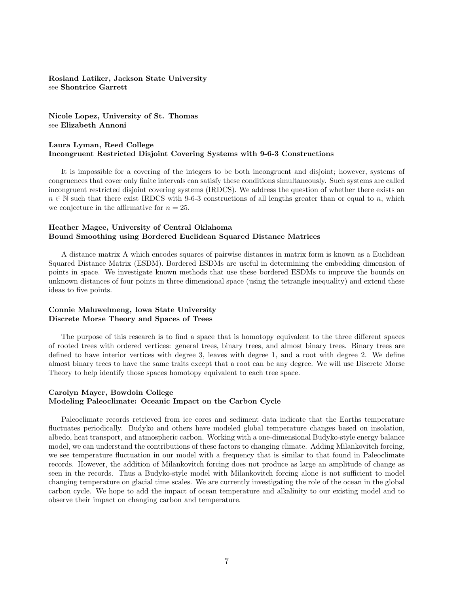# **Rosland Latiker, Jackson State University** see **Shontrice Garrett**

**Nicole Lopez, University of St. Thomas** see **Elizabeth Annoni**

# **Laura Lyman, Reed College Incongruent Restricted Disjoint Covering Systems with 9-6-3 Constructions**

It is impossible for a covering of the integers to be both incongruent and disjoint; however, systems of congruences that cover only finite intervals can satisfy these conditions simultaneously. Such systems are called incongruent restricted disjoint covering systems (IRDCS). We address the question of whether there exists an *n* ∈ N such that there exist IRDCS with 9-6-3 constructions of all lengths greater than or equal to *n*, which we conjecture in the affirmative for  $n = 25$ .

# **Heather Magee, University of Central Oklahoma Bound Smoothing using Bordered Euclidean Squared Distance Matrices**

A distance matrix A which encodes squares of pairwise distances in matrix form is known as a Euclidean Squared Distance Matrix (ESDM). Bordered ESDMs are useful in determining the embedding dimension of points in space. We investigate known methods that use these bordered ESDMs to improve the bounds on unknown distances of four points in three dimensional space (using the tetrangle inequality) and extend these ideas to five points.

# **Connie Maluwelmeng, Iowa State University Discrete Morse Theory and Spaces of Trees**

The purpose of this research is to find a space that is homotopy equivalent to the three different spaces of rooted trees with ordered vertices: general trees, binary trees, and almost binary trees. Binary trees are defined to have interior vertices with degree 3, leaves with degree 1, and a root with degree 2. We define almost binary trees to have the same traits except that a root can be any degree. We will use Discrete Morse Theory to help identify those spaces homotopy equivalent to each tree space.

# **Carolyn Mayer, Bowdoin College Modeling Paleoclimate: Oceanic Impact on the Carbon Cycle**

Paleoclimate records retrieved from ice cores and sediment data indicate that the Earths temperature fluctuates periodically. Budyko and others have modeled global temperature changes based on insolation, albedo, heat transport, and atmospheric carbon. Working with a one-dimensional Budyko-style energy balance model, we can understand the contributions of these factors to changing climate. Adding Milankovitch forcing, we see temperature fluctuation in our model with a frequency that is similar to that found in Paleoclimate records. However, the addition of Milankovitch forcing does not produce as large an amplitude of change as seen in the records. Thus a Budyko-style model with Milankovitch forcing alone is not sufficient to model changing temperature on glacial time scales. We are currently investigating the role of the ocean in the global carbon cycle. We hope to add the impact of ocean temperature and alkalinity to our existing model and to observe their impact on changing carbon and temperature.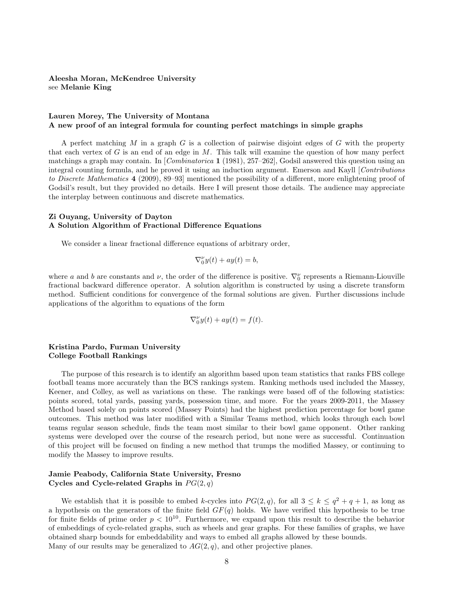# **Aleesha Moran, McKendree University** see **Melanie King**

### **Lauren Morey, The University of Montana A new proof of an integral formula for counting perfect matchings in simple graphs**

A perfect matching *M* in a graph *G* is a collection of pairwise disjoint edges of *G* with the property that each vertex of *G* is an end of an edge in *M*. This talk will examine the question of how many perfect matchings a graph may contain. In [*Combinatorica* **1** (1981), 257–262], Godsil answered this question using an integral counting formula, and he proved it using an induction argument. Emerson and Kayll [*Contributions to Discrete Mathematics* **4** (2009), 89–93] mentioned the possibility of a different, more enlightening proof of Godsil's result, but they provided no details. Here I will present those details. The audience may appreciate the interplay between continuous and discrete mathematics.

## **Zi Ouyang, University of Dayton A Solution Algorithm of Fractional Difference Equations**

We consider a linear fractional difference equations of arbitrary order,

$$
\nabla_0^{\nu} y(t) + ay(t) = b,
$$

where *a* and *b* are constants and *v*, the order of the difference is positive.  $\nabla_0^{\nu}$  represents a Riemann-Liouville fractional backward difference operator. A solution algorithm is constructed by using a discrete transform method. Sufficient conditions for convergence of the formal solutions are given. Further discussions include applications of the algorithm to equations of the form

$$
\nabla_0^{\nu} y(t) + ay(t) = f(t).
$$

# **Kristina Pardo, Furman University College Football Rankings**

The purpose of this research is to identify an algorithm based upon team statistics that ranks FBS college football teams more accurately than the BCS rankings system. Ranking methods used included the Massey, Keener, and Colley, as well as variations on these. The rankings were based off of the following statistics: points scored, total yards, passing yards, possession time, and more. For the years 2009-2011, the Massey Method based solely on points scored (Massey Points) had the highest prediction percentage for bowl game outcomes. This method was later modified with a Similar Teams method, which looks through each bowl teams regular season schedule, finds the team most similar to their bowl game opponent. Other ranking systems were developed over the course of the research period, but none were as successful. Continuation of this project will be focused on finding a new method that trumps the modified Massey, or continuing to modify the Massey to improve results.

# **Jamie Peabody, California State University, Fresno** Cycles and Cycle-related Graphs in  $PG(2, q)$

We establish that it is possible to embed *k*-cycles into  $PG(2, q)$ , for all  $3 \leq k \leq q^2 + q + 1$ , as long as a hypothesis on the generators of the finite field *GF*(*q*) holds. We have verified this hypothesis to be true for finite fields of prime order  $p < 10^{10}$ . Furthermore, we expand upon this result to describe the behavior of embeddings of cycle-related graphs, such as wheels and gear graphs. For these families of graphs, we have obtained sharp bounds for embeddability and ways to embed all graphs allowed by these bounds. Many of our results may be generalized to *AG*(2*, q*), and other projective planes.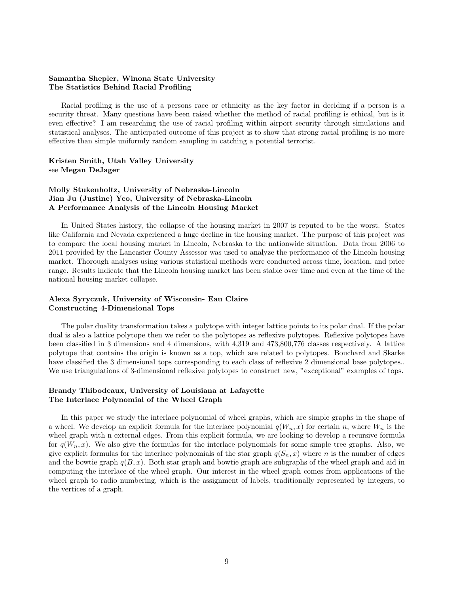# **Samantha Shepler, Winona State University The Statistics Behind Racial Profiling**

Racial profiling is the use of a persons race or ethnicity as the key factor in deciding if a person is a security threat. Many questions have been raised whether the method of racial profiling is ethical, but is it even effective? I am researching the use of racial profiling within airport security through simulations and statistical analyses. The anticipated outcome of this project is to show that strong racial profiling is no more effective than simple uniformly random sampling in catching a potential terrorist.

**Kristen Smith, Utah Valley University** see **Megan DeJager**

# **Molly Stukenholtz, University of Nebraska-Lincoln Jian Ju (Justine) Yeo, University of Nebraska-Lincoln A Performance Analysis of the Lincoln Housing Market**

In United States history, the collapse of the housing market in 2007 is reputed to be the worst. States like California and Nevada experienced a huge decline in the housing market. The purpose of this project was to compare the local housing market in Lincoln, Nebraska to the nationwide situation. Data from 2006 to 2011 provided by the Lancaster County Assessor was used to analyze the performance of the Lincoln housing market. Thorough analyses using various statistical methods were conducted across time, location, and price range. Results indicate that the Lincoln housing market has been stable over time and even at the time of the national housing market collapse.

# **Alexa Syryczuk, University of Wisconsin- Eau Claire Constructing 4-Dimensional Tops**

The polar duality transformation takes a polytope with integer lattice points to its polar dual. If the polar dual is also a lattice polytope then we refer to the polytopes as reflexive polytopes. Reflexive polytopes have been classified in 3 dimensions and 4 dimensions, with 4,319 and 473,800,776 classes respectively. A lattice polytope that contains the origin is known as a top, which are related to polytopes. Bouchard and Skarke have classified the 3 dimensional tops corresponding to each class of reflexive 2 dimensional base polytopes.. We use triangulations of 3-dimensional reflexive polytopes to construct new, "exceptional" examples of tops.

# **Brandy Thibodeaux, University of Louisiana at Lafayette The Interlace Polynomial of the Wheel Graph**

In this paper we study the interlace polynomial of wheel graphs, which are simple graphs in the shape of a wheel. We develop an explicit formula for the interlace polynomial  $q(W_n, x)$  for certain *n*, where  $W_n$  is the wheel graph with n external edges. From this explicit formula, we are looking to develop a recursive formula for  $q(W_n, x)$ . We also give the formulas for the interlace polynomials for some simple tree graphs. Also, we give explicit formulas for the interlace polynomials of the star graph  $q(S_n, x)$  where *n* is the number of edges and the bowtie graph  $q(B, x)$ . Both star graph and bowtie graph are subgraphs of the wheel graph and aid in computing the interlace of the wheel graph. Our interest in the wheel graph comes from applications of the wheel graph to radio numbering, which is the assignment of labels, traditionally represented by integers, to the vertices of a graph.